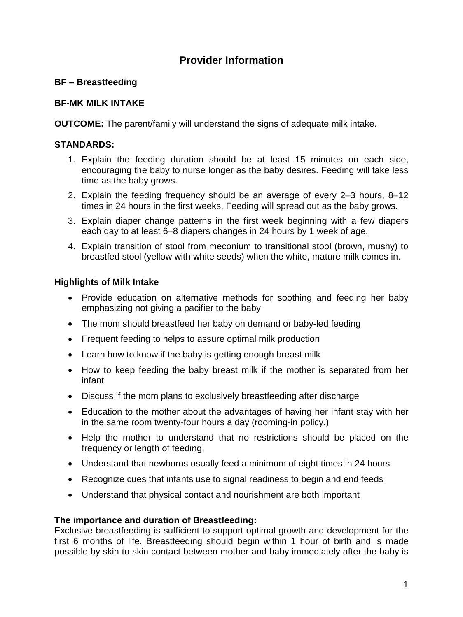# **Provider Information**

# **BF – Breastfeeding**

## **BF-MK MILK INTAKE**

**OUTCOME:** The parent/family will understand the signs of adequate milk intake.

## **STANDARDS:**

- 1. Explain the feeding duration should be at least 15 minutes on each side, encouraging the baby to nurse longer as the baby desires. Feeding will take less time as the baby grows.
- 2. Explain the feeding frequency should be an average of every 2–3 hours, 8–12 times in 24 hours in the first weeks. Feeding will spread out as the baby grows.
- 3. Explain diaper change patterns in the first week beginning with a few diapers each day to at least 6–8 diapers changes in 24 hours by 1 week of age.
- 4. Explain transition of stool from meconium to transitional stool (brown, mushy) to breastfed stool (yellow with white seeds) when the white, mature milk comes in.

## **Highlights of Milk Intake**

- Provide education on alternative methods for soothing and feeding her baby emphasizing not giving a pacifier to the baby
- The mom should breastfeed her baby on demand or baby-led feeding
- Frequent feeding to helps to assure optimal milk production
- Learn how to know if the baby is getting enough breast milk
- How to keep feeding the baby breast milk if the mother is separated from her infant
- Discuss if the mom plans to exclusively breastfeeding after discharge
- Education to the mother about the advantages of having her infant stay with her in the same room twenty-four hours a day (rooming-in policy.)
- Help the mother to understand that no restrictions should be placed on the frequency or length of feeding,
- Understand that newborns usually feed a minimum of eight times in 24 hours
- Recognize cues that infants use to signal readiness to begin and end feeds
- Understand that physical contact and nourishment are both important

## **The importance and duration of Breastfeeding:**

Exclusive breastfeeding is sufficient to support optimal growth and development for the first 6 months of life. Breastfeeding should begin within 1 hour of birth and is made possible by skin to skin contact between mother and baby immediately after the baby is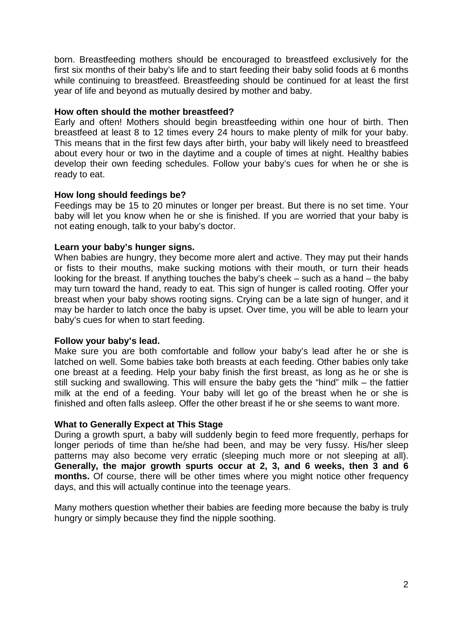born. Breastfeeding mothers should be encouraged to breastfeed exclusively for the first six months of their baby's life and to start feeding their baby solid foods at 6 months while continuing to breastfeed. Breastfeeding should be continued for at least the first year of life and beyond as mutually desired by mother and baby.

#### **How often should the mother breastfeed?**

Early and often! Mothers should begin breastfeeding within one hour of birth. Then breastfeed at least 8 to 12 times every 24 hours to make plenty of milk for your baby. This means that in the first few days after birth, your baby will likely need to breastfeed about every hour or two in the daytime and a couple of times at night. Healthy babies develop their own feeding schedules. Follow your baby's cues for when he or she is ready to eat.

## **How long should feedings be?**

Feedings may be 15 to 20 minutes or longer per breast. But there is no set time. Your baby will let you know when he or she is finished. If you are worried that your baby is not eating enough, talk to your baby's doctor.

## **Learn your baby's hunger signs.**

When babies are hungry, they become more alert and active. They may put their hands or fists to their mouths, make sucking motions with their mouth, or turn their heads looking for the breast. If anything touches the baby's cheek – such as a hand – the baby may turn toward the hand, ready to eat. This sign of hunger is called rooting. Offer your breast when your baby shows rooting signs. Crying can be a late sign of hunger, and it may be harder to latch once the baby is upset. Over time, you will be able to learn your baby's cues for when to start feeding.

#### **Follow your baby's lead.**

Make sure you are both comfortable and follow your baby's lead after he or she is latched on well. Some babies take both breasts at each feeding. Other babies only take one breast at a feeding. Help your baby finish the first breast, as long as he or she is still sucking and swallowing. This will ensure the baby gets the "hind" milk – the fattier milk at the end of a feeding. Your baby will let go of the breast when he or she is finished and often falls asleep. Offer the other breast if he or she seems to want more.

#### **What to Generally Expect at This Stage**

During a growth spurt, a baby will suddenly begin to feed more frequently, perhaps for longer periods of time than he/she had been, and may be very fussy. His/her sleep patterns may also become very erratic (sleeping much more or not sleeping at all). **Generally, the major growth spurts occur at 2, 3, and 6 weeks, then 3 and 6 months.** Of course, there will be other times where you might notice other frequency days, and this will actually continue into the teenage years.

Many mothers question whether their babies are feeding more because the baby is truly hungry or simply because they find the nipple soothing.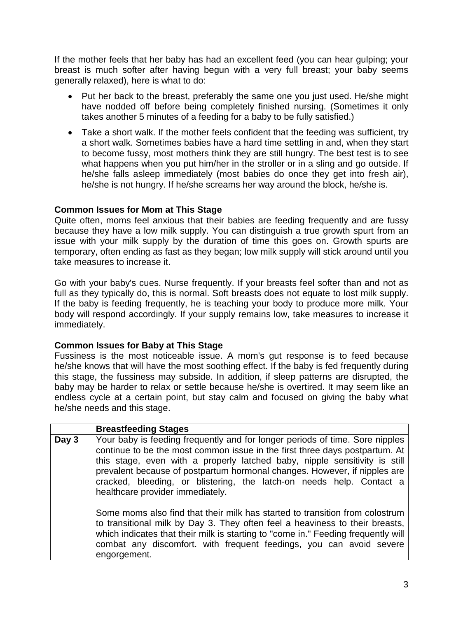If the mother feels that her baby has had an excellent feed (you can hear gulping; your breast is much softer after having begun with a very full breast; your baby seems generally relaxed), here is what to do:

- Put her back to the breast, preferably the same one you just used. He/she might have nodded off before being completely finished nursing. (Sometimes it only takes another 5 minutes of a feeding for a baby to be fully satisfied.)
- Take a short walk. If the mother feels confident that the feeding was sufficient, try a short walk. Sometimes babies have a hard time settling in and, when they start to become fussy, most mothers think they are still hungry. The best test is to see what happens when you put him/her in the stroller or in a sling and go outside. If he/she falls asleep immediately (most babies do once they get into fresh air), he/she is not hungry. If he/she screams her way around the block, he/she is.

## **Common Issues for Mom at This Stage**

Quite often, moms feel anxious that their babies are feeding frequently and are fussy because they have a low milk supply. You can distinguish a true growth spurt from an issue with your milk supply by the duration of time this goes on. Growth spurts are temporary, often ending as fast as they began; low milk supply will stick around until you take measures to increase it.

Go with your baby's cues. Nurse frequently. If your breasts feel softer than and not as full as they typically do, this is normal. Soft breasts does not equate to lost milk supply. If the baby is feeding frequently, he is teaching your body to produce more milk. Your body will respond accordingly. If your supply remains low, take measures to increase it immediately.

## **Common Issues for Baby at This Stage**

Fussiness is the most noticeable issue. A mom's gut response is to feed because he/she knows that will have the most soothing effect. If the baby is fed frequently during this stage, the fussiness may subside. In addition, if sleep patterns are disrupted, the baby may be harder to relax or settle because he/she is overtired. It may seem like an endless cycle at a certain point, but stay calm and focused on giving the baby what he/she needs and this stage.

|       | <b>Breastfeeding Stages</b>                                                                                                                                                                                                                                                                                                                                                                                                        |
|-------|------------------------------------------------------------------------------------------------------------------------------------------------------------------------------------------------------------------------------------------------------------------------------------------------------------------------------------------------------------------------------------------------------------------------------------|
| Day 3 | Your baby is feeding frequently and for longer periods of time. Sore nipples<br>continue to be the most common issue in the first three days postpartum. At<br>this stage, even with a properly latched baby, nipple sensitivity is still<br>prevalent because of postpartum hormonal changes. However, if nipples are<br>cracked, bleeding, or blistering, the latch-on needs help. Contact a<br>healthcare provider immediately. |
|       | Some moms also find that their milk has started to transition from colostrum<br>to transitional milk by Day 3. They often feel a heaviness to their breasts,<br>which indicates that their milk is starting to "come in." Feeding frequently will<br>combat any discomfort. with frequent feedings, you can avoid severe<br>engorgement.                                                                                           |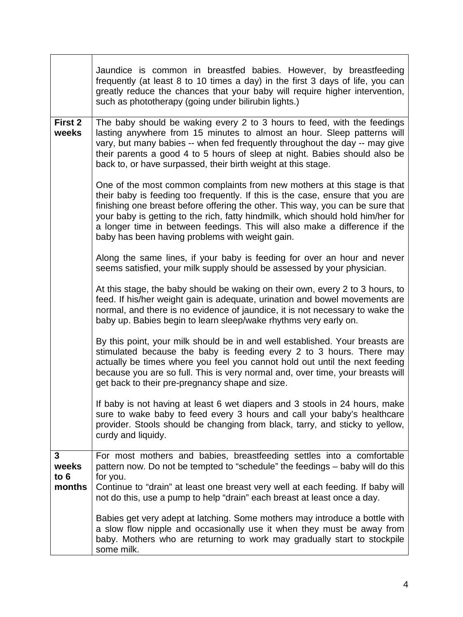|                       | Jaundice is common in breastfed babies. However, by breastfeeding<br>frequently (at least 8 to 10 times a day) in the first 3 days of life, you can<br>greatly reduce the chances that your baby will require higher intervention,<br>such as phototherapy (going under bilirubin lights.)                                                                                                                                                                       |
|-----------------------|------------------------------------------------------------------------------------------------------------------------------------------------------------------------------------------------------------------------------------------------------------------------------------------------------------------------------------------------------------------------------------------------------------------------------------------------------------------|
| First 2<br>weeks      | The baby should be waking every 2 to 3 hours to feed, with the feedings<br>lasting anywhere from 15 minutes to almost an hour. Sleep patterns will<br>vary, but many babies -- when fed frequently throughout the day -- may give<br>their parents a good 4 to 5 hours of sleep at night. Babies should also be<br>back to, or have surpassed, their birth weight at this stage.                                                                                 |
|                       | One of the most common complaints from new mothers at this stage is that<br>their baby is feeding too frequently. If this is the case, ensure that you are<br>finishing one breast before offering the other. This way, you can be sure that<br>your baby is getting to the rich, fatty hindmilk, which should hold him/her for<br>a longer time in between feedings. This will also make a difference if the<br>baby has been having problems with weight gain. |
|                       | Along the same lines, if your baby is feeding for over an hour and never<br>seems satisfied, your milk supply should be assessed by your physician.                                                                                                                                                                                                                                                                                                              |
|                       | At this stage, the baby should be waking on their own, every 2 to 3 hours, to<br>feed. If his/her weight gain is adequate, urination and bowel movements are<br>normal, and there is no evidence of jaundice, it is not necessary to wake the<br>baby up. Babies begin to learn sleep/wake rhythms very early on.                                                                                                                                                |
|                       | By this point, your milk should be in and well established. Your breasts are<br>stimulated because the baby is feeding every 2 to 3 hours. There may<br>actually be times where you feel you cannot hold out until the next feeding<br>because you are so full. This is very normal and, over time, your breasts will<br>get back to their pre-pregnancy shape and size.                                                                                         |
|                       | If baby is not having at least 6 wet diapers and 3 stools in 24 hours, make<br>sure to wake baby to feed every 3 hours and call your baby's healthcare<br>provider. Stools should be changing from black, tarry, and sticky to yellow,<br>curdy and liquidy.                                                                                                                                                                                                     |
| $\mathbf{3}$<br>weeks | For most mothers and babies, breastfeeding settles into a comfortable<br>pattern now. Do not be tempted to "schedule" the feedings - baby will do this                                                                                                                                                                                                                                                                                                           |
| to $6$<br>months      | for you.<br>Continue to "drain" at least one breast very well at each feeding. If baby will<br>not do this, use a pump to help "drain" each breast at least once a day.                                                                                                                                                                                                                                                                                          |
|                       | Babies get very adept at latching. Some mothers may introduce a bottle with<br>a slow flow nipple and occasionally use it when they must be away from<br>baby. Mothers who are returning to work may gradually start to stockpile<br>some milk.                                                                                                                                                                                                                  |